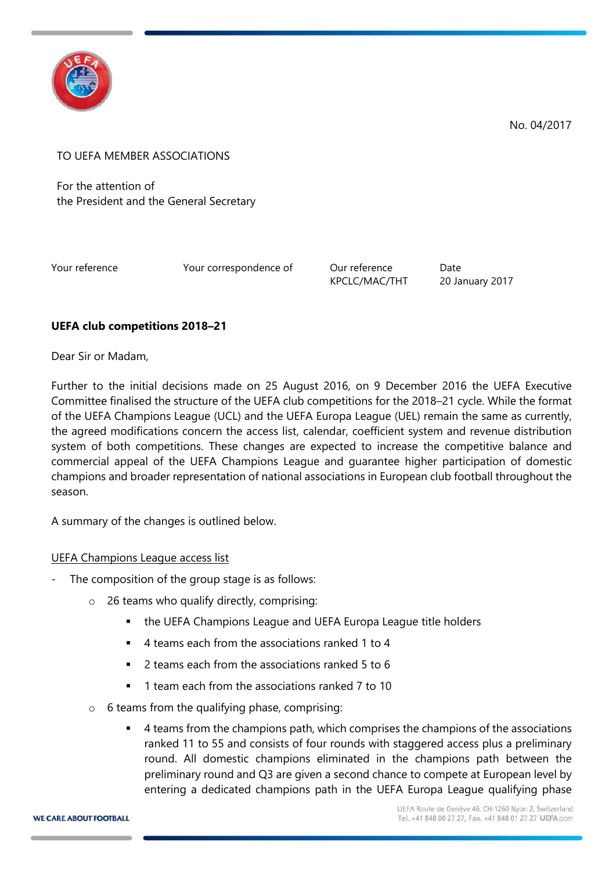

No. 04/2017

TO UEFA MEMBER ASSOCIATIONS

For the attention of the President and the General Secretary

Your reference Tow Your correspondence of Our reference Date

KPCLC/MAC/THT 20 January 2017

## **UEFA club competitions 2018–21**

Dear Sir or Madam,

Further to the initial decisions made on 25 August 2016, on 9 December 2016 the UEFA Executive Committee finalised the structure of the UEFA club competitions for the 2018–21 cycle. While the format of the UEFA Champions League (UCL) and the UEFA Europa League (UEL) remain the same as currently, the agreed modifications concern the access list, calendar, coefficient system and revenue distribution system of both competitions. These changes are expected to increase the competitive balance and commercial appeal of the UEFA Champions League and guarantee higher participation of domestic champions and broader representation of national associations in European club football throughout the season.

A summary of the changes is outlined below.

## UEFA Champions League access list

- The composition of the group stage is as follows:
	- o 26 teams who qualify directly, comprising:
		- the UEFA Champions League and UEFA Europa League title holders
		- 4 teams each from the associations ranked 1 to 4
		- 2 teams each from the associations ranked 5 to 6
		- 1 team each from the associations ranked 7 to 10
	- $\circ$  6 teams from the qualifying phase, comprising:
		- 4 teams from the champions path, which comprises the champions of the associations ranked 11 to 55 and consists of four rounds with staggered access plus a preliminary round. All domestic champions eliminated in the champions path between the preliminary round and Q3 are given a second chance to compete at European level by entering a dedicated champions path in the UEFA Europa League qualifying phase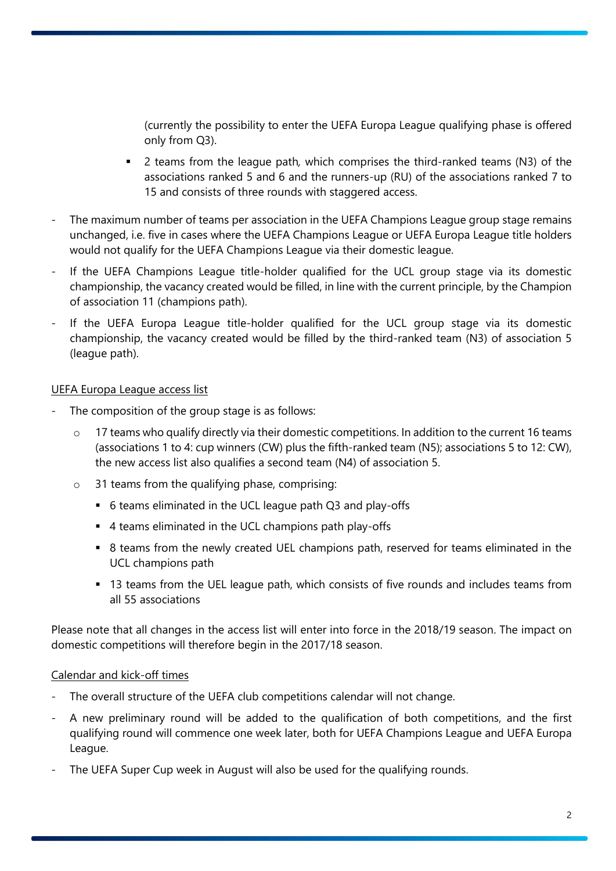(currently the possibility to enter the UEFA Europa League qualifying phase is offered only from Q3).

- 2 teams from the league path*,* which comprises the third-ranked teams (N3) of the associations ranked 5 and 6 and the runners-up (RU) of the associations ranked 7 to 15 and consists of three rounds with staggered access.
- The maximum number of teams per association in the UEFA Champions League group stage remains unchanged, i.e. five in cases where the UEFA Champions League or UEFA Europa League title holders would not qualify for the UEFA Champions League via their domestic league.
- If the UEFA Champions League title-holder qualified for the UCL group stage via its domestic championship, the vacancy created would be filled, in line with the current principle, by the Champion of association 11 (champions path).
- If the UEFA Europa League title-holder qualified for the UCL group stage via its domestic championship, the vacancy created would be filled by the third-ranked team (N3) of association 5 (league path).

### UEFA Europa League access list

- The composition of the group stage is as follows:
	- $\circ$  17 teams who qualify directly via their domestic competitions. In addition to the current 16 teams (associations 1 to 4: cup winners (CW) plus the fifth-ranked team (N5); associations 5 to 12: CW), the new access list also qualifies a second team (N4) of association 5.
	- o 31 teams from the qualifying phase, comprising:
		- 6 teams eliminated in the UCL league path Q3 and play-offs
		- 4 teams eliminated in the UCL champions path play-offs
		- 8 teams from the newly created UEL champions path, reserved for teams eliminated in the UCL champions path
		- 13 teams from the UEL league path, which consists of five rounds and includes teams from all 55 associations

Please note that all changes in the access list will enter into force in the 2018/19 season. The impact on domestic competitions will therefore begin in the 2017/18 season.

## Calendar and kick-off times

- The overall structure of the UEFA club competitions calendar will not change.
- A new preliminary round will be added to the qualification of both competitions, and the first qualifying round will commence one week later, both for UEFA Champions League and UEFA Europa League.
- The UEFA Super Cup week in August will also be used for the qualifying rounds.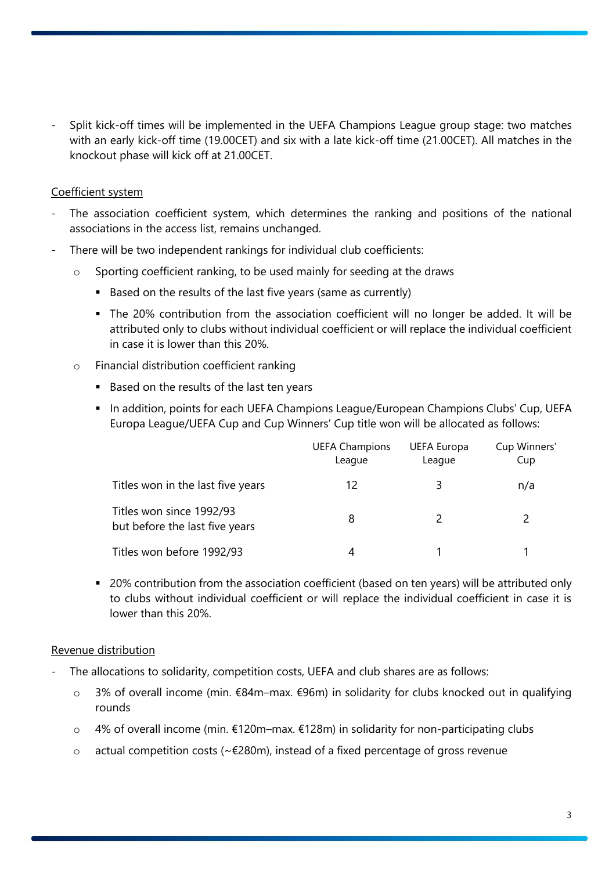Split kick-off times will be implemented in the UEFA Champions League group stage: two matches with an early kick-off time (19.00CET) and six with a late kick-off time (21.00CET). All matches in the knockout phase will kick off at 21.00CET.

### Coefficient system

- The association coefficient system, which determines the ranking and positions of the national associations in the access list, remains unchanged.
- There will be two independent rankings for individual club coefficients:
	- o Sporting coefficient ranking, to be used mainly for seeding at the draws
		- Based on the results of the last five years (same as currently)
		- The 20% contribution from the association coefficient will no longer be added. It will be attributed only to clubs without individual coefficient or will replace the individual coefficient in case it is lower than this 20%.
	- o Financial distribution coefficient ranking
		- Based on the results of the last ten years
		- **In addition, points for each UEFA Champions League/European Champions Clubs' Cup, UEFA** Europa League/UEFA Cup and Cup Winners' Cup title won will be allocated as follows:

|                                                            | <b>UEFA Champions</b><br>League | <b>UEFA Europa</b><br>League | Cup Winners'<br>Cup |
|------------------------------------------------------------|---------------------------------|------------------------------|---------------------|
| Titles won in the last five years                          | 12                              | ξ                            | n/a                 |
| Titles won since 1992/93<br>but before the last five years | 8                               |                              |                     |
| Titles won before 1992/93                                  | 4                               |                              |                     |

 20% contribution from the association coefficient (based on ten years) will be attributed only to clubs without individual coefficient or will replace the individual coefficient in case it is lower than this 20%.

#### Revenue distribution

- The allocations to solidarity, competition costs, UEFA and club shares are as follows:
	- o 3% of overall income (min. €84m–max. €96m) in solidarity for clubs knocked out in qualifying rounds
	- o 4% of overall income (min. €120m–max. €128m) in solidarity for non-participating clubs
	- o actual competition costs (~€280m), instead of a fixed percentage of gross revenue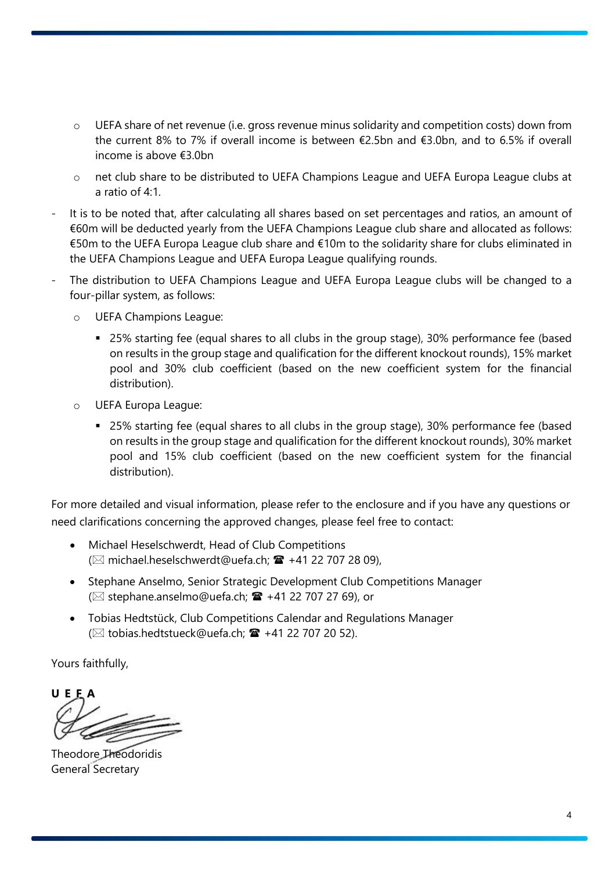- o UEFA share of net revenue (i.e. gross revenue minus solidarity and competition costs) down from the current 8% to 7% if overall income is between €2.5bn and €3.0bn, and to 6.5% if overall income is above €3.0bn
- o net club share to be distributed to UEFA Champions League and UEFA Europa League clubs at a ratio of 4:1.
- It is to be noted that, after calculating all shares based on set percentages and ratios, an amount of €60m will be deducted yearly from the UEFA Champions League club share and allocated as follows: €50m to the UEFA Europa League club share and €10m to the solidarity share for clubs eliminated in the UEFA Champions League and UEFA Europa League qualifying rounds.
- The distribution to UEFA Champions League and UEFA Europa League clubs will be changed to a four-pillar system, as follows:
	- o UEFA Champions League:
		- 25% starting fee (equal shares to all clubs in the group stage), 30% performance fee (based on results in the group stage and qualification for the different knockout rounds), 15% market pool and 30% club coefficient (based on the new coefficient system for the financial distribution).
	- o UEFA Europa League:
		- 25% starting fee (equal shares to all clubs in the group stage), 30% performance fee (based on results in the group stage and qualification for the different knockout rounds), 30% market pool and 15% club coefficient (based on the new coefficient system for the financial distribution).

For more detailed and visual information, please refer to the enclosure and if you have any questions or need clarifications concerning the approved changes, please feel free to contact:

- Michael Heselschwerdt, Head of Club Competitions ( $\boxtimes$  michael.heselschwerdt@uefa.ch;  $\mathbf{\hat{m}}$  +41 22 707 28 09),
- Stephane Anselmo, Senior Strategic Development Club Competitions Manager ( $\boxtimes$  stephane.anselmo@uefa.ch;  $\mathbf{\mathcal{F}}$  +41 22 707 27 69), or
- Tobias Hedtstück, Club Competitions Calendar and Regulations Manager ( $\boxtimes$  tobias.hedtstueck@uefa.ch;  $\mathbf{\hat{m}}$  +41 22 707 20 52).

Yours faithfully,

**U E F A**

Theodore Theodoridis General Secretary